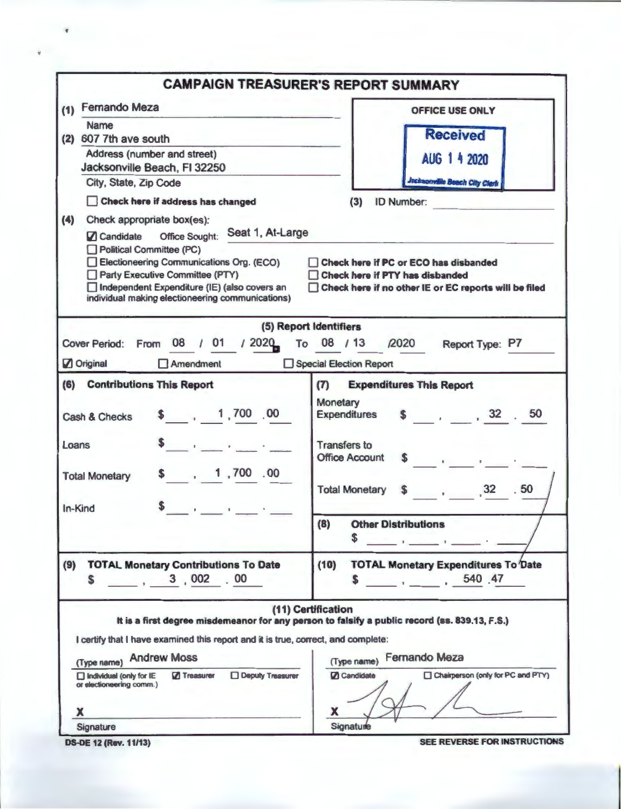|                                                                                   | <b>CAMPAIGN TREASURER'S REPORT SUMMARY</b>                                                    |  |  |  |  |
|-----------------------------------------------------------------------------------|-----------------------------------------------------------------------------------------------|--|--|--|--|
| <b>Fernando Meza</b><br>(1)                                                       | <b>OFFICE USE ONLY</b>                                                                        |  |  |  |  |
| <b>Name</b>                                                                       |                                                                                               |  |  |  |  |
| (2) 607 7th ave south                                                             | <b>Received</b>                                                                               |  |  |  |  |
| Address (number and street)                                                       | AUG 1 4 2020                                                                                  |  |  |  |  |
| Jacksonville Beach, FI 32250<br>City, State, Zip Code                             | <b>Jacksonville Beach City Clerk</b>                                                          |  |  |  |  |
|                                                                                   |                                                                                               |  |  |  |  |
| Check here if address has changed                                                 | <b>ID Number:</b><br>(3)                                                                      |  |  |  |  |
| (4)<br>Check appropriate box(es):<br>Seat 1, At-Large                             |                                                                                               |  |  |  |  |
| Candidate Office Sought:<br>Political Committee (PC)                              |                                                                                               |  |  |  |  |
| Electioneering Communications Org. (ECO)                                          | Check here if PC or ECO has disbanded                                                         |  |  |  |  |
| Party Executive Committee (PTY)                                                   | Check here if PTY has disbanded<br>Ιł                                                         |  |  |  |  |
| Independent Expenditure (IE) (also covers an                                      | Check here if no other IE or EC reports will be filed<br>H                                    |  |  |  |  |
| individual making electioneering communications)                                  |                                                                                               |  |  |  |  |
|                                                                                   | (5) Report Identifiers                                                                        |  |  |  |  |
| 08 / 01 / 2020<br>Cover Period: From                                              | To 08 / 13 / 2020<br>Report Type: P7                                                          |  |  |  |  |
| $\Box$ Amendment<br>Original                                                      | Special Election Report                                                                       |  |  |  |  |
| (6) Contributions This Report                                                     | <b>Expenditures This Report</b><br>(7)                                                        |  |  |  |  |
|                                                                                   | Monetary                                                                                      |  |  |  |  |
| \$ 1,700,00<br>Cash & Checks                                                      | \$32.50<br><b>Expenditures</b>                                                                |  |  |  |  |
|                                                                                   |                                                                                               |  |  |  |  |
| $\overline{\mathbf{5}}$ , and the set of $\mathbf{5}$<br>Loans                    | <b>Transfers to</b><br><b>Office Account</b>                                                  |  |  |  |  |
|                                                                                   |                                                                                               |  |  |  |  |
| \$ 1,700.00<br><b>Total Monetary</b>                                              | \$32.50<br><b>Total Monetary</b>                                                              |  |  |  |  |
|                                                                                   |                                                                                               |  |  |  |  |
| the contract of the contract of<br>In-Kind                                        |                                                                                               |  |  |  |  |
|                                                                                   | (8)<br><b>Other Distributions</b><br>\$                                                       |  |  |  |  |
|                                                                                   | and the state of the state of                                                                 |  |  |  |  |
| <b>TOTAL Monetary Contributions To Date</b><br>(9)                                | (10)<br><b>TOTAL Monetary Expenditures To Date</b>                                            |  |  |  |  |
| 3,002.00<br>S                                                                     | 540 47<br>\$.                                                                                 |  |  |  |  |
|                                                                                   |                                                                                               |  |  |  |  |
|                                                                                   | (11) Certification                                                                            |  |  |  |  |
|                                                                                   | It is a first degree misdemeanor for any person to falsify a public record (ss. 839.13, F.S.) |  |  |  |  |
| I certify that I have examined this report and it is true, correct, and complete: |                                                                                               |  |  |  |  |
| (Type name) Andrew Moss                                                           | <b>Fernando Meza</b><br>(Type name)                                                           |  |  |  |  |
| <b>Deputy Treasurer</b><br><b>7</b> Treasurer<br>Individual (only for IE          | Chairperson (only for PC and PTY)<br>Candidate                                                |  |  |  |  |
| or electioneering comm.)                                                          |                                                                                               |  |  |  |  |
| x                                                                                 | х                                                                                             |  |  |  |  |
| Signature                                                                         | Signature                                                                                     |  |  |  |  |
| <b>DS-DE 12 (Rev. 11/13)</b>                                                      | SEE REVERSE FOR INSTRUCTIONS                                                                  |  |  |  |  |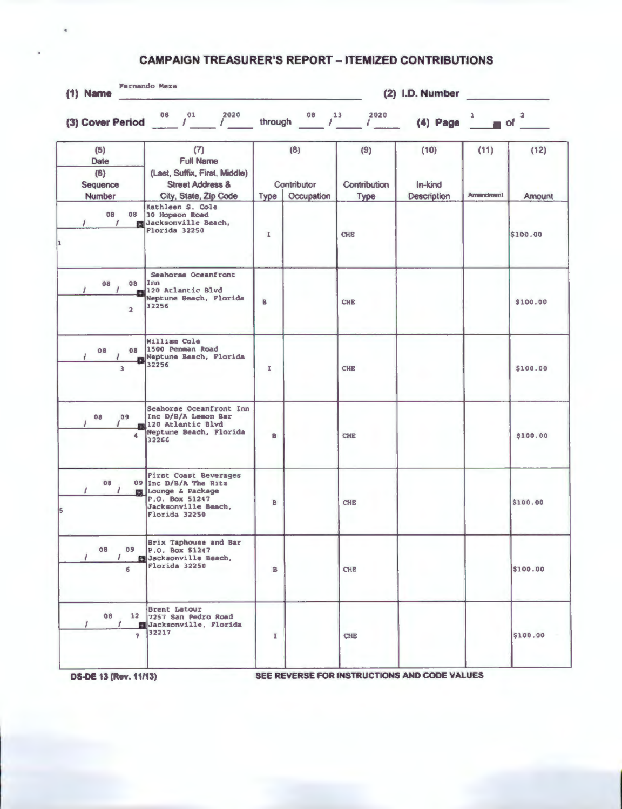## **CAMPAIGN TREASURER'S REPORT - ITEMIZED CONTRIBUTIONS**

| $(1)$ Name                                      |                                                                                                                                     |              | (2) I.D. Number<br>All products and |                                   |                                |                   |                                  |  |
|-------------------------------------------------|-------------------------------------------------------------------------------------------------------------------------------------|--------------|-------------------------------------|-----------------------------------|--------------------------------|-------------------|----------------------------------|--|
|                                                 | (3) Cover Period $0^8$ $1^0$ $1^2$ $1^{2020}$                                                                                       |              |                                     | through $^{08}$ $^{13}$ $^{2020}$ | $(4)$ Page $1$                 |                   | $\overline{a}$ of $\overline{a}$ |  |
| (5)<br>Date<br>(6)<br>Sequence<br><b>Number</b> | (7)<br><b>Full Name</b><br>(Last, Suffix, First, Middle)<br><b>Street Address &amp;</b><br>City, State, Zip Code                    | <b>Type</b>  | (8)<br>Contributor<br>Occupation    | (9)<br>Contribution<br>Type       | (10)<br>In-kind<br>Description | (11)<br>Amendment | (12)<br>Amount                   |  |
| 08<br>08<br>$\prime$                            | Kathleen S. Cole<br>30 Hopson Road<br>Jacksonville Beach,<br>Florida 32250                                                          | $\mathbf{I}$ |                                     | <b>CHE</b>                        |                                |                   | \$100.00                         |  |
| 08<br>08<br>$\overline{a}$                      | Seahorse Oceanfront<br>Inn<br>120 Atlantic Blvd<br>Neptune Beach, Florida<br>32256                                                  | B            |                                     | <b>CHE</b>                        |                                |                   | \$100.00                         |  |
| 08<br>$\prime$                                  | William Cole<br>08 1500 Penman Road<br>Neptune Beach, Florida<br>32256                                                              | $\mathbf{I}$ |                                     | <b>CHE</b>                        |                                |                   | \$100.00                         |  |
| 09<br>08<br>4                                   | Seahorse Oceanfront Inn<br>Inc D/B/A Lemon Bar<br>120 Atlantic Blvd<br>Neptune Beach, Florida<br>32266                              | B            |                                     | <b>CHE</b>                        |                                |                   | \$100.00                         |  |
| 08<br><b>EST</b>                                | <b>First Coast Beverages</b><br>09 Inc D/B/A The Ritz<br>Lounge & Package<br>P.O. Box 51247<br>Jacksonville Beach,<br>Florida 32250 | B            |                                     | <b>CHE</b>                        |                                |                   | \$100.00                         |  |
| 08<br>09<br>6                                   | <b>Brix Taphouse and Bar</b><br>P.O. Box 51247<br>Jacksonville Beach,<br>Florida 32250                                              | в            |                                     | <b>CHE</b>                        |                                |                   | \$100.00                         |  |
| 08<br>$\overline{ }$                            | <b>Brent Latour</b><br>12 7257 San Pedro Road<br>Jacksonville, Florida<br>32217                                                     | $\mathbf{I}$ |                                     | <b>CHE</b>                        |                                |                   | \$100.00                         |  |

 $\overline{\mathbf{q}}$ 

**OS-DE 13 (Rev. 11/13)** SEE REVERSE FOR INSTRUCTIONS AND CODE VALUES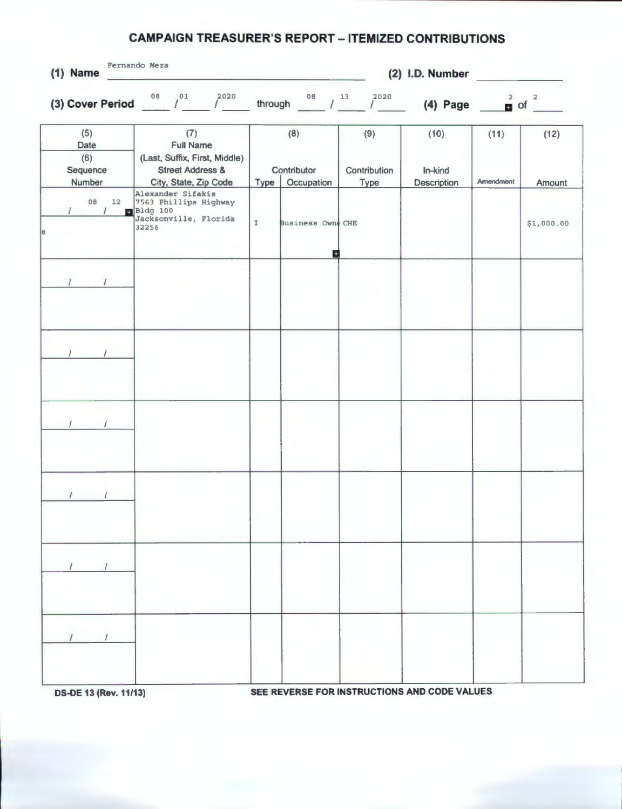## **CAMPAIGN TREASURER'S REPORT - ITEMIZED CONTRIBUTIONS**

| 2020<br>(3) Cover Period $08 / 01$<br>$\sqrt{2}$<br>(7)<br><b>Full Name</b><br>(Last, Suffix, First, Middle)<br><b>Street Address &amp;</b> |             | through $\frac{08}{\sqrt{13}}$ / $\frac{13}{\sqrt{13}}$<br>(8) | $1^{2020}$                  | $(4)$ Page                     | $\frac{2}{10}$ of | $\overline{\mathbf{c}}$ |
|---------------------------------------------------------------------------------------------------------------------------------------------|-------------|----------------------------------------------------------------|-----------------------------|--------------------------------|-------------------|-------------------------|
|                                                                                                                                             |             |                                                                |                             |                                |                   |                         |
| City, State, Zip Code                                                                                                                       | <b>Type</b> | Contributor<br>Occupation                                      | (9)<br>Contribution<br>Type | (10)<br>In-kind<br>Description | (11)<br>Amendment | (12)<br>Amount          |
| Alexander Sifakis<br>7563 Phillips Highway<br>Bldg 100<br>Jacksonville, Florida<br>32256                                                    | $\mathbb T$ | Business Owne CHE                                              |                             |                                |                   | \$1,000.00              |
|                                                                                                                                             |             |                                                                |                             |                                |                   |                         |
|                                                                                                                                             |             |                                                                |                             |                                |                   |                         |
|                                                                                                                                             |             |                                                                |                             |                                |                   |                         |
|                                                                                                                                             |             |                                                                |                             |                                |                   |                         |
|                                                                                                                                             |             |                                                                |                             |                                |                   |                         |
|                                                                                                                                             |             |                                                                |                             |                                |                   |                         |
|                                                                                                                                             |             |                                                                |                             | Ø                              |                   |                         |

**DS-DE 13 (Rev. 11/13) SEE REVERSE FOR INSTRUCTIONS AND CODE VALUES**